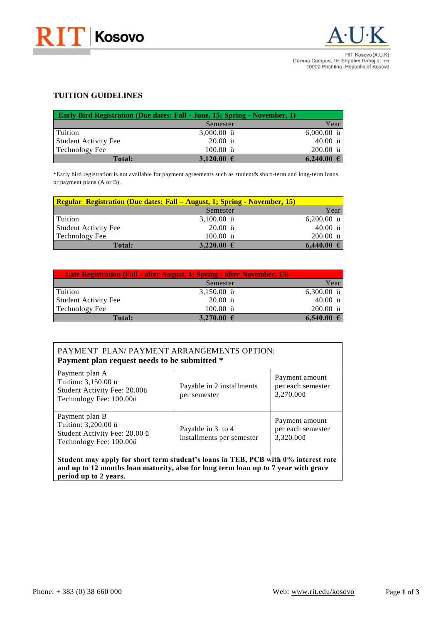



RIT Kosovo (A.U.K) Gërmia Campus, Dr. Shpëtim Robaj st. nn<br>10000 Prishtina, Republic of Kosovo

## **TUITION GUIDELINES**

| <b>Early Bird Registration (Due dates: Fall - June, 15; Spring - November, 1)</b> |                     |                |  |  |  |
|-----------------------------------------------------------------------------------|---------------------|----------------|--|--|--|
|                                                                                   | $Ug$ o guvgt"       | $\text{gct}$ " |  |  |  |
| Vwkvkqp''                                                                         | "5.222022""b"       | "8.222022""b"  |  |  |  |
| Uvwfgpv"Cevkxkv{"Hgg"                                                             | "42022""b"          | "62022""b"     |  |  |  |
| Vgejpqnqi{"Hgg"                                                                   | "322022""b"         | "422022""b"    |  |  |  |
| <b>Total:</b>                                                                     | 3,120.00 $\epsilon$ | $6.240.00 \in$ |  |  |  |

, Gctn{"dktf"tgikuvtcvkqp"ku"pqv"cxckncdng"hqt"rc{ogpv"citggogpvu"uwej"cu"uvwfgpvøu"ujqtv/vgto"cpf"nqpi/vgto"nqcpu qt"rc{ogpv"rncpu"\*C"qt"D+0

| <b>Regular Registration (Due dates: Fall – August. 3; Spring - November. 15)</b> |                     |               |  |  |
|----------------------------------------------------------------------------------|---------------------|---------------|--|--|
|                                                                                  | $Ug$ o guvgt"       | gct           |  |  |
| Vwkykqp"                                                                         | "5.322022""b"       | "8.422022""b" |  |  |
| Uvwfgpv"Cevkxkv{"Hgg"                                                            | "42022""b"          | "62022""b"    |  |  |
| Vgejpqnqi{"Hgg"                                                                  | "322022""b"         | "422022""b"   |  |  |
| <b>Total:</b>                                                                    | 3,220.00 $\epsilon$ | 6,440.00      |  |  |

| Late Registration (Fall - after August. 1="Spring - after November. 15) |                     |               |  |  |
|-------------------------------------------------------------------------|---------------------|---------------|--|--|
|                                                                         | $Ug$ o guvgt"       | $\sec t$      |  |  |
| $\mathsf{Vwkwqp}$                                                       | "5.372022"" $b$ "   | "8.522022""b" |  |  |
| Uvwfgpv"Cevkxkv{"Hgg"                                                   | "42022"" $b$ "      | "62022""b"    |  |  |
| $Vgejp$ qnq $i$ {"Hgg"                                                  | "322022""b"         | "422022""b"   |  |  |
| <b>Total:</b>                                                           | 3,270.00 $\epsilon$ | 6,540.00      |  |  |

| RC [ OGPV""RNCP1"RC [ OGPV"CTTCP I GOGPVU"QRVKQP<"<br>Payment plan request needs to be submitted *"                                                                                               |                                                                                                                                                                                                                                                                                                                                                                                                                                                                                                                                                                                                                                                                          |                                                                                            |  |  |
|---------------------------------------------------------------------------------------------------------------------------------------------------------------------------------------------------|--------------------------------------------------------------------------------------------------------------------------------------------------------------------------------------------------------------------------------------------------------------------------------------------------------------------------------------------------------------------------------------------------------------------------------------------------------------------------------------------------------------------------------------------------------------------------------------------------------------------------------------------------------------------------|--------------------------------------------------------------------------------------------|--|--|
| $\mathsf{Rc}\mathsf{[o\,gpv"rncp"C"}$<br>Vwkykqp $\leq 5.372022$ "b"<br>Uvwfgpv"Cevkxkv{"Hgg<"42022b"<br>Vge j pqnq i {"Hgg<" $322022b$ "                                                         | Rc { cdng"kp"4"kpuvcnn o gpvu"<br>rgt"ug o guvgt""                                                                                                                                                                                                                                                                                                                                                                                                                                                                                                                                                                                                                       | $\text{Rc}$ { $\text{o}$ gpv"c $\text{o}$ qwpv"<br>rgt"gce j"ug o guvgt"<br>5.492022b""""" |  |  |
| $\mathop{\rm RC}$ { $\alpha$ gpv" rncp" $\mathop{\rm D}$ "<br>Vwkykqp<"5.422022"b"<br>Uvwfgpv"Cevkxkv{"Hgg<"42022"b"<br>Vge j pqnq i {"Hgg<" $322022b$ "                                          | $\operatorname{Rc} \{ \operatorname{cdng} \operatorname{Tr} \mathfrak{f} \operatorname{G} \operatorname{G} \operatorname{G} \operatorname{G} \operatorname{G} \operatorname{G} \operatorname{G} \operatorname{G} \operatorname{G} \operatorname{G} \operatorname{G} \operatorname{G} \operatorname{G} \operatorname{G} \operatorname{G} \operatorname{G} \operatorname{G} \operatorname{G} \operatorname{G} \operatorname{G} \operatorname{G} \operatorname{G} \operatorname{G} \operatorname{G} \operatorname{G} \operatorname{G} \operatorname{G} \operatorname{G} \operatorname{G} \operatorname{G} \operatorname{G} \operatorname{G$<br>kpuvcnnogpvu" r gt"ugoguvgt" | $\text{Rc}$ { $\text{o}$ gpv"c $\text{o}$ qwpv"<br>rgt"gce j"ug o guvgt"<br>5.542022b"     |  |  |
| Student may apply for short term student's loans in TEB, PCB with 0% interest rate<br>and up to 12 months loan maturity, also for long term loan up to 7 year with grace<br>period up to 2 years. |                                                                                                                                                                                                                                                                                                                                                                                                                                                                                                                                                                                                                                                                          |                                                                                            |  |  |